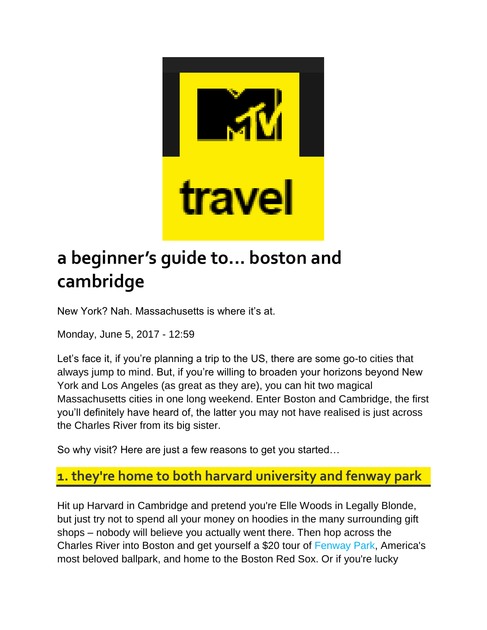



# **a beginner's guide to... boston and cambridge**

New York? Nah. Massachusetts is where it's at.

Monday, June 5, 2017 - 12:59

Let's face it, if you're planning a trip to the US, there are some go-to cities that always jump to mind. But, if you're willing to broaden your horizons beyond New York and Los Angeles (as great as they are), you can hit two magical Massachusetts cities in one long weekend. Enter Boston and Cambridge, the first you'll definitely have heard of, the latter you may not have realised is just across the Charles River from its big sister.

So why visit? Here are just a few reasons to get you started…

### **1. they're home to both harvard university and fenway park**

Hit up Harvard in Cambridge and pretend you're Elle Woods in Legally Blonde, but just try not to spend all your money on hoodies in the many surrounding gift shops – nobody will believe you actually went there. Then hop across the Charles River into Boston and get yourself a \$20 tour of [Fenway Park,](http://boston.redsox.mlb.com/bos/ballpark/) America's most beloved ballpark, and home to the Boston Red Sox. Or if you're lucky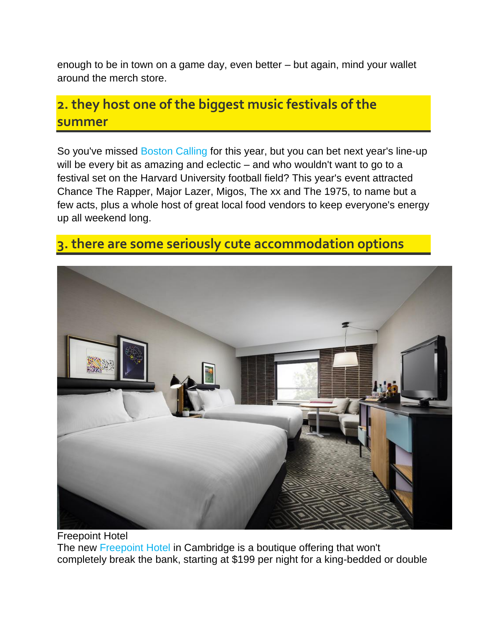enough to be in town on a game day, even better – but again, mind your wallet around the merch store.

# **2. they host one of the biggest music festivals of the summer**

So you've missed [Boston Calling](http://www.bostoncalling.com/) for this year, but you can bet next year's line-up will be every bit as amazing and eclectic – and who wouldn't want to go to a festival set on the Harvard University football field? This year's event attracted Chance The Rapper, Major Lazer, Migos, The xx and The 1975, to name but a few acts, plus a whole host of great local food vendors to keep everyone's energy up all weekend long.

# **3. there are some seriously cute accommodation options**



#### Freepoint Hotel The new [Freepoint Hotel](https://www.freepointhotel.com/) in Cambridge is a boutique offering that won't completely break the bank, starting at \$199 per night for a king-bedded or double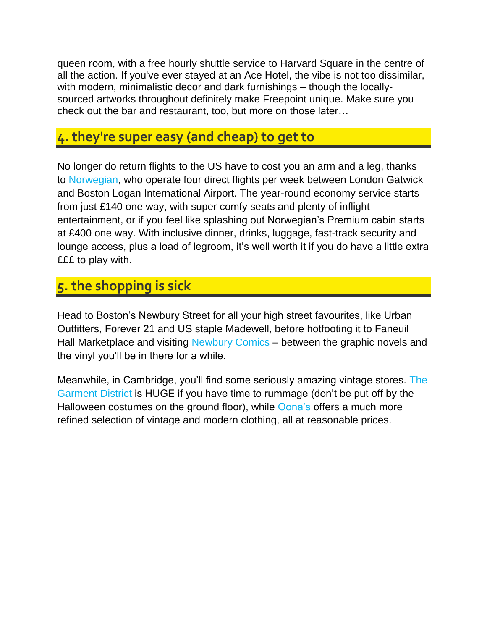queen room, with a free hourly shuttle service to Harvard Square in the centre of all the action. If you've ever stayed at an Ace Hotel, the vibe is not too dissimilar, with modern, minimalistic decor and dark furnishings – though the locallysourced artworks throughout definitely make Freepoint unique. Make sure you check out the bar and restaurant, too, but more on those later…

## **4. they're super easy (and cheap) to get to**

No longer do return flights to the US have to cost you an arm and a leg, thanks to [Norwegian,](https://www.norwegian.com/uk) who operate four direct flights per week between London Gatwick and Boston Logan International Airport. The year-round economy service starts from just £140 one way, with super comfy seats and plenty of inflight entertainment, or if you feel like splashing out Norwegian's Premium cabin starts at £400 one way. With inclusive dinner, drinks, luggage, fast-track security and lounge access, plus a load of legroom, it's well worth it if you do have a little extra £££ to play with.

# **5. the shopping is sick**

Head to Boston's Newbury Street for all your high street favourites, like Urban Outfitters, Forever 21 and US staple Madewell, before hotfooting it to Faneuil Hall Marketplace and visiting [Newbury Comics](https://www.newburycomics.com/) – between the graphic novels and the vinyl you'll be in there for a while.

Meanwhile, in Cambridge, you'll find some seriously amazing vintage stores. [The](https://garmentdistrict.com/)  [Garment District](https://garmentdistrict.com/) is HUGE if you have time to rummage (don't be put off by the Halloween costumes on the ground floor), while **Oona's offers a much more** refined selection of vintage and modern clothing, all at reasonable prices.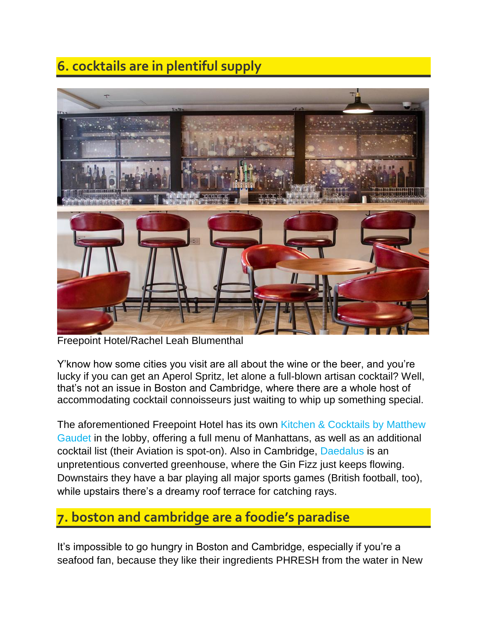# **6. cocktails are in plentiful supply**



Freepoint Hotel/Rachel Leah Blumenthal

Y'know how some cities you visit are all about the wine or the beer, and you're lucky if you can get an Aperol Spritz, let alone a full-blown artisan cocktail? Well, that's not an issue in Boston and Cambridge, where there are a whole host of accommodating cocktail connoisseurs just waiting to whip up something special.

The aforementioned Freepoint Hotel has its own Kitchen & Cocktails by Matthew [Gaudet](https://www.freepointhotel.com/dining/) in the lobby, offering a full menu of Manhattans, as well as an additional cocktail list (their Aviation is spot-on). Also in Cambridge, [Daedalus](https://www.facebook.com/daedalusrestaurant/) is an unpretentious converted greenhouse, where the Gin Fizz just keeps flowing. Downstairs they have a bar playing all major sports games (British football, too), while upstairs there's a dreamy roof terrace for catching rays.

## **7. boston and cambridge are a foodie's paradise**

It's impossible to go hungry in Boston and Cambridge, especially if you're a seafood fan, because they like their ingredients PHRESH from the water in New